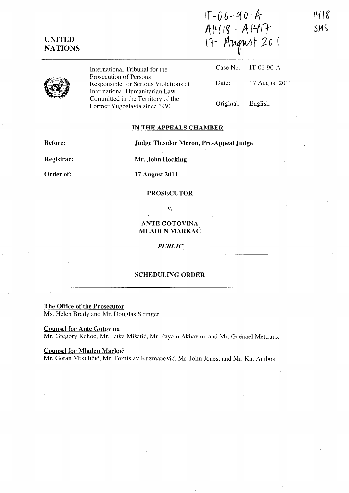$IT - 06 - 90 - A$ A1418 - A1417 17 August 2011

|--|

UNITED **NATIONS** 

> International Tribunal for the Prosecution of Persons . Responsible for Serious Violations of International Humanitarian Law Committed in the Territory of the Former Yugoslavia since 1991

| Date:             | 17 August 2011 |
|-------------------|----------------|
| Original: English |                |

Case No. IT-06-90-A ,

1418

 $SMS$ 

### IN THE APPEALS CHAMBER

Before:

Judge Theodor Meron, Pre-Appeal Judge

Registrar:

Mr. John Hocking

Order of:

17 August 2011

## PROSECUTOR

v.

# ANTE GOTOVINA MLADEN MARKAČ

### *PUBLIC*

### SCHEDULING ORDER

The Office of the Prosecutor

Ms. Helen Brady and Mr. Douglas Stringer

Counsel for Ante Gotovina

Mr. Gregory Kehoe, Mr. Luka Mišetić, Mr. Payam Akhavan, and Mr. Guénaël Mettraux

#### Counsel for Mladen Markac

Mr. Goran Mikuličić, Mr. Tomislav Kuzmanović, Mr. John Jones, and Mr. Kai Ambos